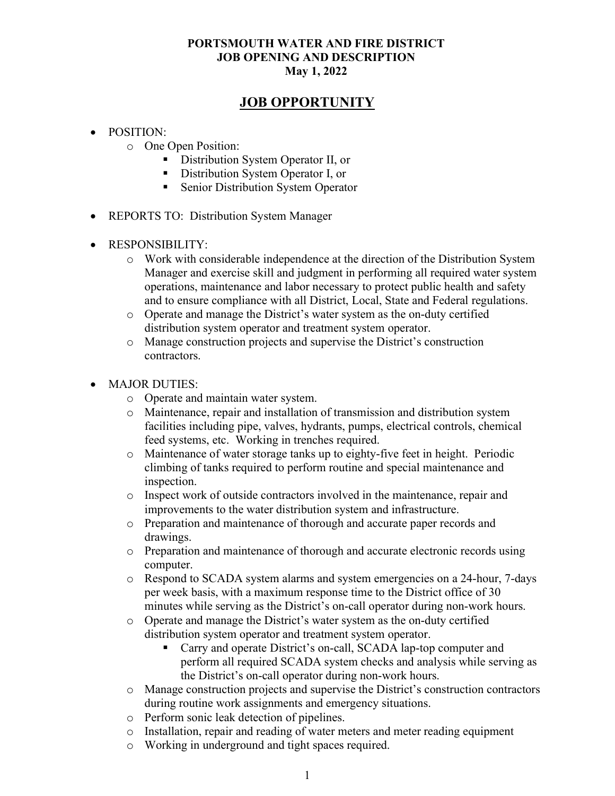### JOB OPPORTUNITY

- POSITION:
	- o One Open Position:
		- **Distribution System Operator II, or**
		- Distribution System Operator I, or
		- Senior Distribution System Operator
- REPORTS TO: Distribution System Manager
- RESPONSIBILITY:
	- o Work with considerable independence at the direction of the Distribution System Manager and exercise skill and judgment in performing all required water system operations, maintenance and labor necessary to protect public health and safety and to ensure compliance with all District, Local, State and Federal regulations.
	- o Operate and manage the District's water system as the on-duty certified distribution system operator and treatment system operator.
	- o Manage construction projects and supervise the District's construction contractors.
- MAJOR DUTIES:
	- o Operate and maintain water system.
	- o Maintenance, repair and installation of transmission and distribution system facilities including pipe, valves, hydrants, pumps, electrical controls, chemical feed systems, etc. Working in trenches required.
	- o Maintenance of water storage tanks up to eighty-five feet in height. Periodic climbing of tanks required to perform routine and special maintenance and inspection.
	- o Inspect work of outside contractors involved in the maintenance, repair and improvements to the water distribution system and infrastructure.
	- o Preparation and maintenance of thorough and accurate paper records and drawings.
	- o Preparation and maintenance of thorough and accurate electronic records using computer.
	- o Respond to SCADA system alarms and system emergencies on a 24-hour, 7-days per week basis, with a maximum response time to the District office of 30 minutes while serving as the District's on-call operator during non-work hours.
	- o Operate and manage the District's water system as the on-duty certified distribution system operator and treatment system operator.
		- Carry and operate District's on-call, SCADA lap-top computer and perform all required SCADA system checks and analysis while serving as the District's on-call operator during non-work hours.
	- o Manage construction projects and supervise the District's construction contractors during routine work assignments and emergency situations.
	- o Perform sonic leak detection of pipelines.
	- o Installation, repair and reading of water meters and meter reading equipment
	- o Working in underground and tight spaces required.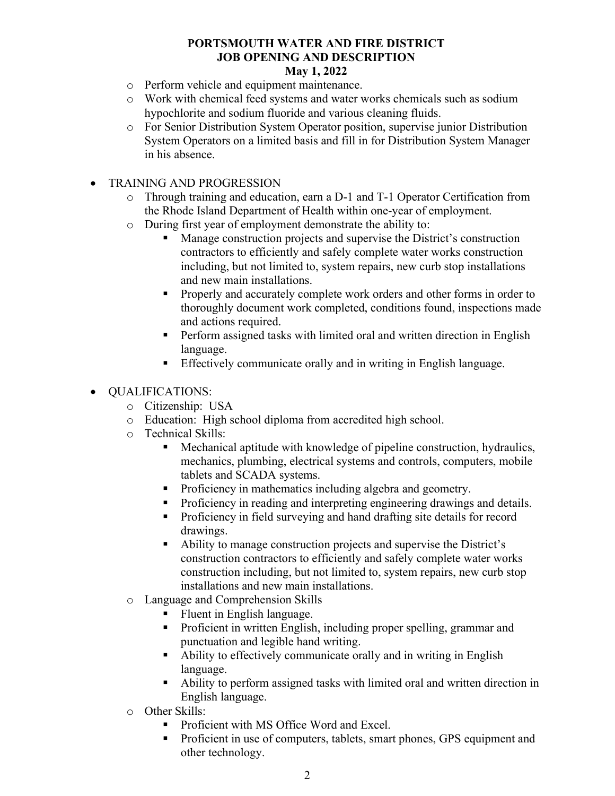#### May 1, 2022

- o Perform vehicle and equipment maintenance.
- o Work with chemical feed systems and water works chemicals such as sodium hypochlorite and sodium fluoride and various cleaning fluids.
- o For Senior Distribution System Operator position, supervise junior Distribution System Operators on a limited basis and fill in for Distribution System Manager in his absence.
- TRAINING AND PROGRESSION
	- o Through training and education, earn a D-1 and T-1 Operator Certification from the Rhode Island Department of Health within one-year of employment.
	- o During first year of employment demonstrate the ability to:
		- Manage construction projects and supervise the District's construction contractors to efficiently and safely complete water works construction including, but not limited to, system repairs, new curb stop installations and new main installations.
		- **Properly and accurately complete work orders and other forms in order to** thoroughly document work completed, conditions found, inspections made and actions required.
		- **Perform assigned tasks with limited oral and written direction in English** language.
		- Effectively communicate orally and in writing in English language.

### QUALIFICATIONS:

- o Citizenship: USA
- o Education: High school diploma from accredited high school.
- o Technical Skills:
	- Mechanical aptitude with knowledge of pipeline construction, hydraulics, mechanics, plumbing, electrical systems and controls, computers, mobile tablets and SCADA systems.
	- **Proficiency in mathematics including algebra and geometry.**
	- Proficiency in reading and interpreting engineering drawings and details.
	- **Proficiency in field surveying and hand drafting site details for record** drawings.
	- Ability to manage construction projects and supervise the District's construction contractors to efficiently and safely complete water works construction including, but not limited to, system repairs, new curb stop installations and new main installations.
- o Language and Comprehension Skills
	- Fluent in English language.
	- Proficient in written English, including proper spelling, grammar and punctuation and legible hand writing.
	- Ability to effectively communicate orally and in writing in English language.
	- Ability to perform assigned tasks with limited oral and written direction in English language.
- o Other Skills:
	- Proficient with MS Office Word and Excel.
	- **Proficient in use of computers, tablets, smart phones, GPS equipment and** other technology.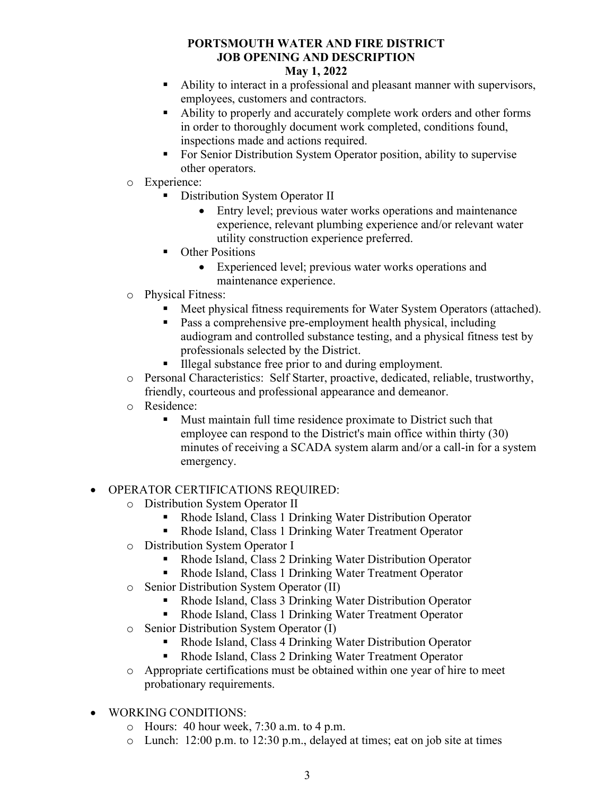#### May 1, 2022

- Ability to interact in a professional and pleasant manner with supervisors, employees, customers and contractors.
- Ability to properly and accurately complete work orders and other forms in order to thoroughly document work completed, conditions found, inspections made and actions required.
- For Senior Distribution System Operator position, ability to supervise other operators.
- o Experience:
	- **Distribution System Operator II** 
		- Entry level; previous water works operations and maintenance experience, relevant plumbing experience and/or relevant water utility construction experience preferred.
	- Other Positions
		- Experienced level; previous water works operations and maintenance experience.
- o Physical Fitness:
	- Meet physical fitness requirements for Water System Operators (attached).
	- **Pass a comprehensive pre-employment health physical, including** audiogram and controlled substance testing, and a physical fitness test by professionals selected by the District.
	- Illegal substance free prior to and during employment.
- o Personal Characteristics: Self Starter, proactive, dedicated, reliable, trustworthy, friendly, courteous and professional appearance and demeanor.
- o Residence:
	- Must maintain full time residence proximate to District such that employee can respond to the District's main office within thirty (30) minutes of receiving a SCADA system alarm and/or a call-in for a system emergency.

## OPERATOR CERTIFICATIONS REQUIRED:

- o Distribution System Operator II
	- Rhode Island, Class 1 Drinking Water Distribution Operator
	- Rhode Island, Class 1 Drinking Water Treatment Operator
- o Distribution System Operator I
	- Rhode Island, Class 2 Drinking Water Distribution Operator
	- Rhode Island, Class 1 Drinking Water Treatment Operator
- o Senior Distribution System Operator (II)
	- Rhode Island, Class 3 Drinking Water Distribution Operator
	- Rhode Island, Class 1 Drinking Water Treatment Operator
- o Senior Distribution System Operator (I)
	- Rhode Island, Class 4 Drinking Water Distribution Operator
	- Rhode Island, Class 2 Drinking Water Treatment Operator
- o Appropriate certifications must be obtained within one year of hire to meet probationary requirements.
- WORKING CONDITIONS:
	- o Hours: 40 hour week, 7:30 a.m. to 4 p.m.
	- o Lunch: 12:00 p.m. to 12:30 p.m., delayed at times; eat on job site at times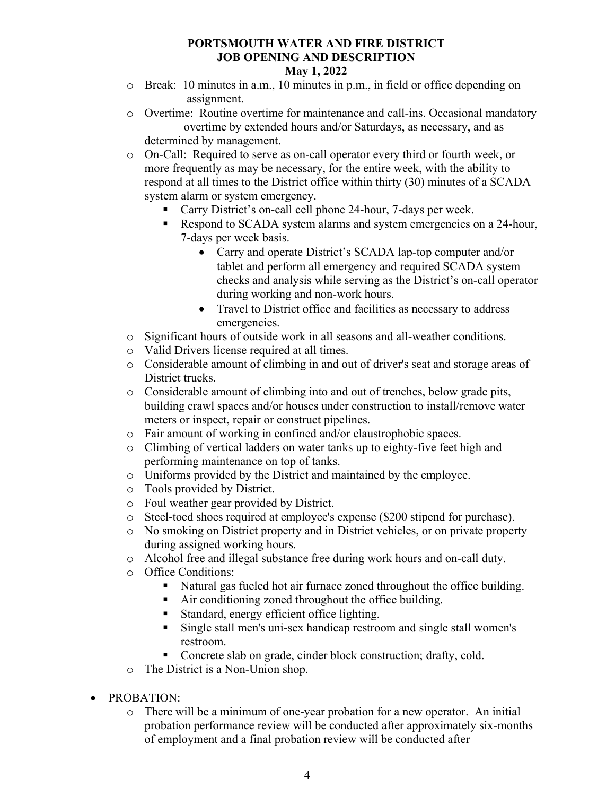- o Break: 10 minutes in a.m., 10 minutes in p.m., in field or office depending on assignment.
- o Overtime: Routine overtime for maintenance and call-ins. Occasional mandatory overtime by extended hours and/or Saturdays, as necessary, and as determined by management.
- o On-Call: Required to serve as on-call operator every third or fourth week, or more frequently as may be necessary, for the entire week, with the ability to respond at all times to the District office within thirty (30) minutes of a SCADA system alarm or system emergency.
	- Carry District's on-call cell phone 24-hour, 7-days per week.
	- Respond to SCADA system alarms and system emergencies on a 24-hour, 7-days per week basis.
		- Carry and operate District's SCADA lap-top computer and/or tablet and perform all emergency and required SCADA system checks and analysis while serving as the District's on-call operator during working and non-work hours.
		- Travel to District office and facilities as necessary to address emergencies.
- o Significant hours of outside work in all seasons and all-weather conditions.
- o Valid Drivers license required at all times.
- o Considerable amount of climbing in and out of driver's seat and storage areas of District trucks.
- o Considerable amount of climbing into and out of trenches, below grade pits, building crawl spaces and/or houses under construction to install/remove water meters or inspect, repair or construct pipelines.
- o Fair amount of working in confined and/or claustrophobic spaces.
- o Climbing of vertical ladders on water tanks up to eighty-five feet high and performing maintenance on top of tanks.
- o Uniforms provided by the District and maintained by the employee.
- o Tools provided by District.
- o Foul weather gear provided by District.
- o Steel-toed shoes required at employee's expense (\$200 stipend for purchase).
- o No smoking on District property and in District vehicles, or on private property during assigned working hours.
- o Alcohol free and illegal substance free during work hours and on-call duty.
- o Office Conditions:
	- Natural gas fueled hot air furnace zoned throughout the office building.
	- Air conditioning zoned throughout the office building.
	- Standard, energy efficient office lighting.
	- Single stall men's uni-sex handicap restroom and single stall women's restroom.
	- Concrete slab on grade, cinder block construction; drafty, cold.
- o The District is a Non-Union shop.
- PROBATION:
	- o There will be a minimum of one-year probation for a new operator. An initial probation performance review will be conducted after approximately six-months of employment and a final probation review will be conducted after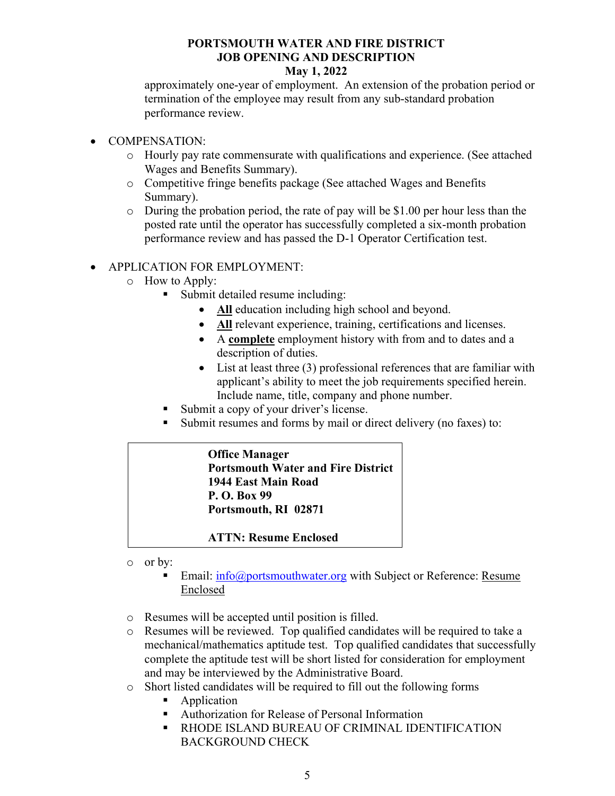#### May 1, 2022

approximately one-year of employment. An extension of the probation period or termination of the employee may result from any sub-standard probation performance review.

- COMPENSATION:
	- o Hourly pay rate commensurate with qualifications and experience. (See attached Wages and Benefits Summary).
	- o Competitive fringe benefits package (See attached Wages and Benefits Summary).
	- o During the probation period, the rate of pay will be \$1.00 per hour less than the posted rate until the operator has successfully completed a six-month probation performance review and has passed the D-1 Operator Certification test.

#### APPLICATION FOR EMPLOYMENT:

- o How to Apply:
	- Submit detailed resume including:
		- All education including high school and beyond.
		- All relevant experience, training, certifications and licenses.
		- A complete employment history with from and to dates and a description of duties.
		- List at least three (3) professional references that are familiar with applicant's ability to meet the job requirements specified herein. Include name, title, company and phone number.
	- Submit a copy of your driver's license.
	- Submit resumes and forms by mail or direct delivery (no faxes) to:

## Office Manager Portsmouth Water and Fire District 1944 East Main Road P. O. Box 99 Portsmouth, RI 02871

#### ATTN: Resume Enclosed

- o or by:
	- Email:  $\inf_{\Omega}$  info@portsmouthwater.org with Subject or Reference: Resume Enclosed
- o Resumes will be accepted until position is filled.
- o Resumes will be reviewed. Top qualified candidates will be required to take a mechanical/mathematics aptitude test. Top qualified candidates that successfully complete the aptitude test will be short listed for consideration for employment and may be interviewed by the Administrative Board.
- o Short listed candidates will be required to fill out the following forms
	- Application
	- Authorization for Release of Personal Information
	- **EXECUTE: RHODE ISLAND BUREAU OF CRIMINAL IDENTIFICATION** BACKGROUND CHECK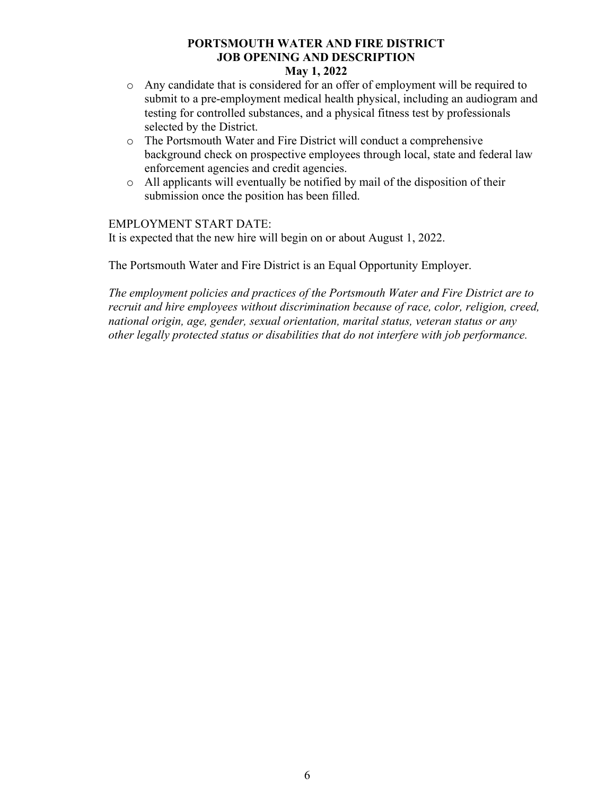#### May 1, 2022

- o Any candidate that is considered for an offer of employment will be required to submit to a pre-employment medical health physical, including an audiogram and testing for controlled substances, and a physical fitness test by professionals selected by the District.
- o The Portsmouth Water and Fire District will conduct a comprehensive background check on prospective employees through local, state and federal law enforcement agencies and credit agencies.
- o All applicants will eventually be notified by mail of the disposition of their submission once the position has been filled.

#### EMPLOYMENT START DATE:

It is expected that the new hire will begin on or about August 1, 2022.

The Portsmouth Water and Fire District is an Equal Opportunity Employer.

The employment policies and practices of the Portsmouth Water and Fire District are to recruit and hire employees without discrimination because of race, color, religion, creed, national origin, age, gender, sexual orientation, marital status, veteran status or any other legally protected status or disabilities that do not interfere with job performance.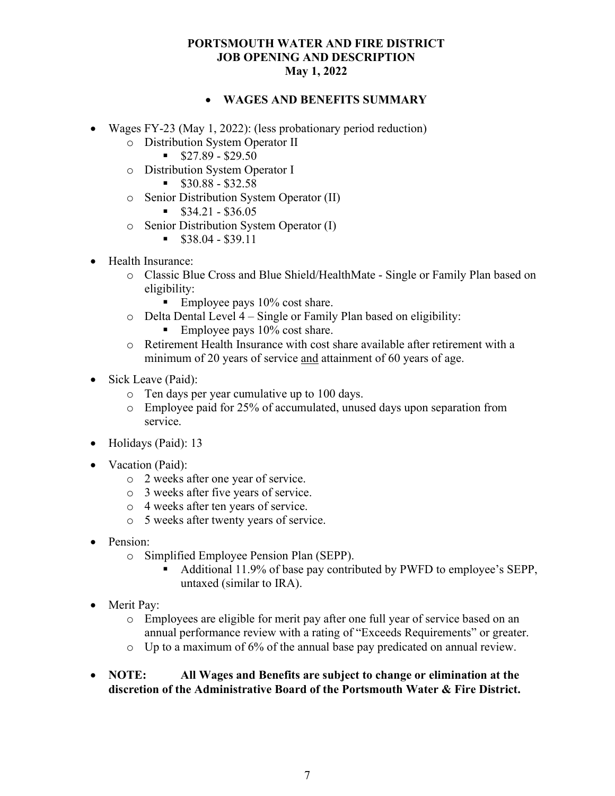#### WAGES AND BENEFITS SUMMARY

- Wages FY-23 (May 1, 2022): (less probationary period reduction)
	- o Distribution System Operator II
		- $\$27.89 $29.50$
	- o Distribution System Operator I
		- $\$30.88 $32.58$
	- o Senior Distribution System Operator (II)
		- $\$34.21 \$36.05$
	- o Senior Distribution System Operator (I)
		- $\text{S}38.04 $39.11$
- Health Insurance:
	- o Classic Blue Cross and Blue Shield/HealthMate Single or Family Plan based on eligibility:
		- Employee pays  $10\%$  cost share.
	- o Delta Dental Level 4 Single or Family Plan based on eligibility:
		- Employee pays  $10\%$  cost share.
	- o Retirement Health Insurance with cost share available after retirement with a minimum of 20 years of service and attainment of 60 years of age.
- Sick Leave (Paid):
	- o Ten days per year cumulative up to 100 days.
	- o Employee paid for 25% of accumulated, unused days upon separation from service.
- Holidays (Paid): 13
- Vacation (Paid):
	- o 2 weeks after one year of service.
	- o 3 weeks after five years of service.
	- o 4 weeks after ten years of service.
	- o 5 weeks after twenty years of service.
- Pension:
	- o Simplified Employee Pension Plan (SEPP).
		- Additional 11.9% of base pay contributed by PWFD to employee's SEPP, untaxed (similar to IRA).
- Merit Pay:
	- o Employees are eligible for merit pay after one full year of service based on an annual performance review with a rating of "Exceeds Requirements" or greater.
	- o Up to a maximum of 6% of the annual base pay predicated on annual review.
- NOTE: All Wages and Benefits are subject to change or elimination at the discretion of the Administrative Board of the Portsmouth Water & Fire District.